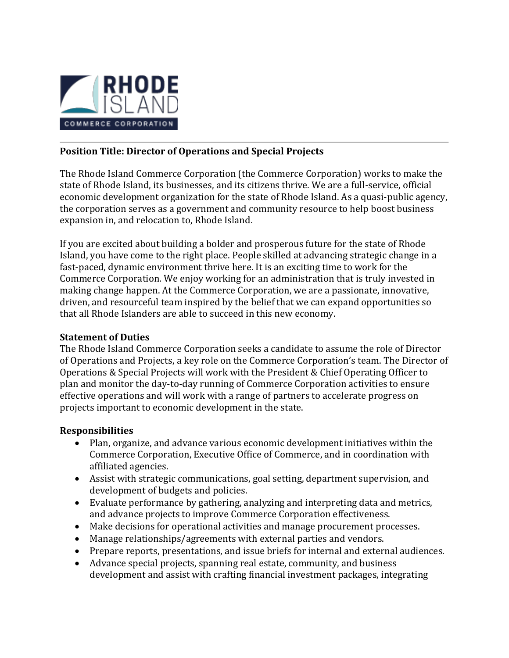

# **Position Title: Director of Operations and Special Projects**

The Rhode Island Commerce Corporation (the Commerce Corporation) works to make the state of Rhode Island, its businesses, and its citizens thrive. We are a full-service, official economic development organization for the state of Rhode Island. As a quasi-public agency, the corporation serves as a government and community resource to help boost business expansion in, and relocation to, Rhode Island.

If you are excited about building a bolder and prosperous future for the state of Rhode Island, you have come to the right place. People skilled at advancing strategic change in a fast-paced, dynamic environment thrive here. It is an exciting time to work for the Commerce Corporation. We enjoy working for an administration that is truly invested in making change happen. At the Commerce Corporation, we are a passionate, innovative, driven, and resourceful team inspired by the belief that we can expand opportunities so that all Rhode Islanders are able to succeed in this new economy.

## **Statement of Duties**

The Rhode Island Commerce Corporation seeks a candidate to assume the role of Director of Operations and Projects, a key role on the Commerce Corporation's team. The Director of Operations & Special Projects will work with the President & Chief Operating Officer to plan and monitor the day-to-day running of Commerce Corporation activities to ensure effective operations and will work with a range of partners to accelerate progress on projects important to economic development in the state.

## **Responsibilities**

- Plan, organize, and advance various economic development initiatives within the Commerce Corporation, Executive Office of Commerce, and in coordination with affiliated agencies.
- Assist with strategic communications, goal setting, department supervision, and development of budgets and policies.
- Evaluate performance by gathering, analyzing and interpreting data and metrics, and advance projects to improve Commerce Corporation effectiveness.
- Make decisions for operational activities and manage procurement processes.
- Manage relationships/agreements with external parties and vendors.
- Prepare reports, presentations, and issue briefs for internal and external audiences.
- Advance special projects, spanning real estate, community, and business development and assist with crafting financial investment packages, integrating